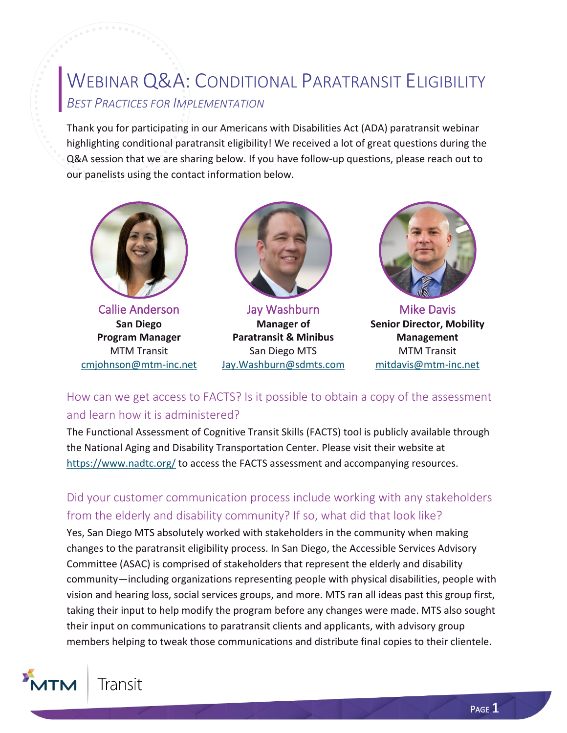# WEBINAR Q&A: CONDITIONAL PARATRANSIT ELIGIBILITY *BEST PRACTICES FOR IMPLEMENTATION*

Thank you for participating in our Americans with Disabilities Act (ADA) paratransit webinar highlighting conditional paratransit eligibility! We received a lot of great questions during the Q&A session that we are sharing below. If you have follow-up questions, please reach out to our panelists using the contact information below.



Callie Anderson **San Diego Program Manager** MTM Transit [cmjohnson@mtm-inc.net](mailto:cmjohnson@mtm-inc.net)



Jay Washburn **Manager of Paratransit & Minibus** San Diego MTS [Jay.Washburn@sdmts.com](mailto:Jay.Washburn@sdmts.com)



Mike Davis **Senior Director, Mobility Management** MTM Transit [mitdavis@mtm-inc.net](mailto:mitdavis@mtm-inc.net)

How can we get access to FACTS? Is it possible to obtain a copy of the assessment and learn how it is administered?

The Functional Assessment of Cognitive Transit Skills (FACTS) tool is publicly available through the National Aging and Disability Transportation Center. Please visit their website at <https://www.nadtc.org/> to access the FACTS assessment and accompanying resources.

### Did your customer communication process include working with any stakeholders from the elderly and disability community? If so, what did that look like?

Yes, San Diego MTS absolutely worked with stakeholders in the community when making changes to the paratransit eligibility process. In San Diego, the Accessible Services Advisory Committee (ASAC) is comprised of stakeholders that represent the elderly and disability community—including organizations representing people with physical disabilities, people with vision and hearing loss, social services groups, and more. MTS ran all ideas past this group first, taking their input to help modify the program before any changes were made. MTS also sought their input on communications to paratransit clients and applicants, with advisory group members helping to tweak those communications and distribute final copies to their clientele.

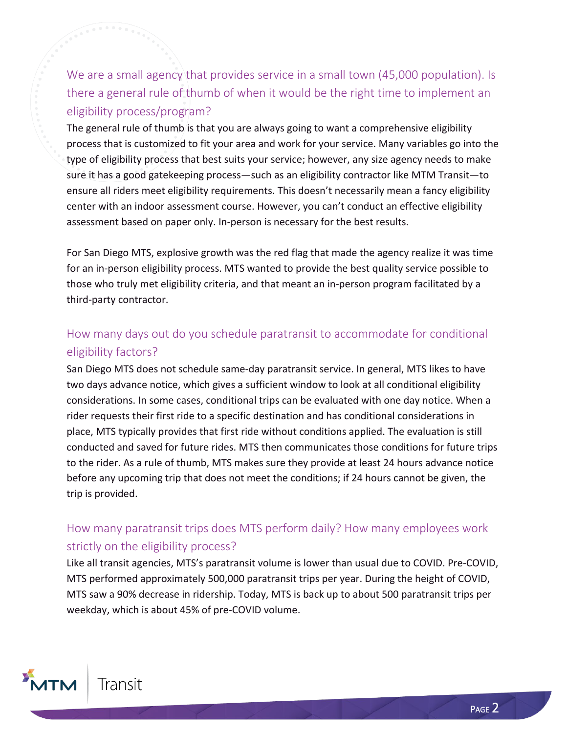We are a small agency that provides service in a small town (45,000 population). Is there a general rule of thumb of when it would be the right time to implement an eligibility process/program?

The general rule of thumb is that you are always going to want a comprehensive eligibility process that is customized to fit your area and work for your service. Many variables go into the type of eligibility process that best suits your service; however, any size agency needs to make sure it has a good gatekeeping process—such as an eligibility contractor like MTM Transit—to ensure all riders meet eligibility requirements. This doesn't necessarily mean a fancy eligibility center with an indoor assessment course. However, you can't conduct an effective eligibility assessment based on paper only. In-person is necessary for the best results.

For San Diego MTS, explosive growth was the red flag that made the agency realize it was time for an in-person eligibility process. MTS wanted to provide the best quality service possible to those who truly met eligibility criteria, and that meant an in-person program facilitated by a third-party contractor.

## How many days out do you schedule paratransit to accommodate for conditional eligibility factors?

San Diego MTS does not schedule same-day paratransit service. In general, MTS likes to have two days advance notice, which gives a sufficient window to look at all conditional eligibility considerations. In some cases, conditional trips can be evaluated with one day notice. When a rider requests their first ride to a specific destination and has conditional considerations in place, MTS typically provides that first ride without conditions applied. The evaluation is still conducted and saved for future rides. MTS then communicates those conditions for future trips to the rider. As a rule of thumb, MTS makes sure they provide at least 24 hours advance notice before any upcoming trip that does not meet the conditions; if 24 hours cannot be given, the trip is provided.

## How many paratransit trips does MTS perform daily? How many employees work strictly on the eligibility process?

Like all transit agencies, MTS's paratransit volume is lower than usual due to COVID. Pre-COVID, MTS performed approximately 500,000 paratransit trips per year. During the height of COVID, MTS saw a 90% decrease in ridership. Today, MTS is back up to about 500 paratransit trips per weekday, which is about 45% of pre-COVID volume.

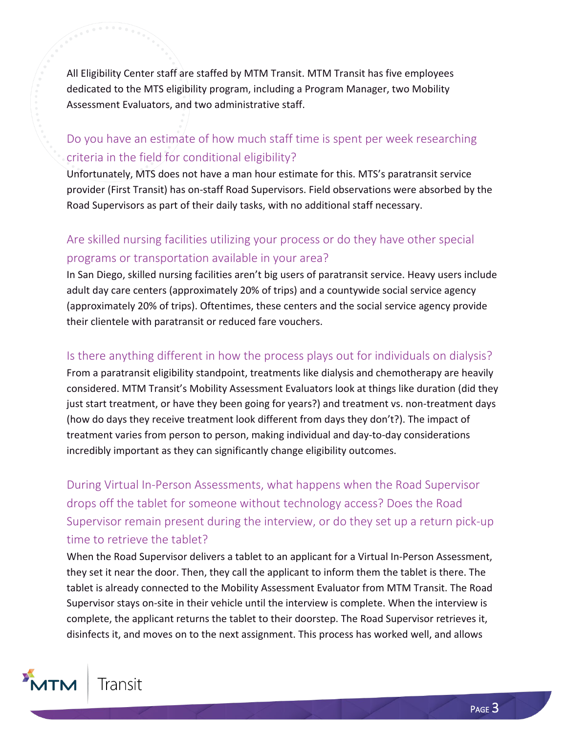All Eligibility Center staff are staffed by MTM Transit. MTM Transit has five employees dedicated to the MTS eligibility program, including a Program Manager, two Mobility Assessment Evaluators, and two administrative staff.

## Do you have an estimate of how much staff time is spent per week researching criteria in the field for conditional eligibility?

Unfortunately, MTS does not have a man hour estimate for this. MTS's paratransit service provider (First Transit) has on-staff Road Supervisors. Field observations were absorbed by the Road Supervisors as part of their daily tasks, with no additional staff necessary.

# Are skilled nursing facilities utilizing your process or do they have other special programs or transportation available in your area?

In San Diego, skilled nursing facilities aren't big users of paratransit service. Heavy users include adult day care centers (approximately 20% of trips) and a countywide social service agency (approximately 20% of trips). Oftentimes, these centers and the social service agency provide their clientele with paratransit or reduced fare vouchers.

#### Is there anything different in how the process plays out for individuals on dialysis?

From a paratransit eligibility standpoint, treatments like dialysis and chemotherapy are heavily considered. MTM Transit's Mobility Assessment Evaluators look at things like duration (did they just start treatment, or have they been going for years?) and treatment vs. non-treatment days (how do days they receive treatment look different from days they don't?). The impact of treatment varies from person to person, making individual and day-to-day considerations incredibly important as they can significantly change eligibility outcomes.

During Virtual In-Person Assessments, what happens when the Road Supervisor drops off the tablet for someone without technology access? Does the Road Supervisor remain present during the interview, or do they set up a return pick-up time to retrieve the tablet?

When the Road Supervisor delivers a tablet to an applicant for a Virtual In-Person Assessment, they set it near the door. Then, they call the applicant to inform them the tablet is there. The tablet is already connected to the Mobility Assessment Evaluator from MTM Transit. The Road Supervisor stays on-site in their vehicle until the interview is complete. When the interview is complete, the applicant returns the tablet to their doorstep. The Road Supervisor retrieves it, disinfects it, and moves on to the next assignment. This process has worked well, and allows

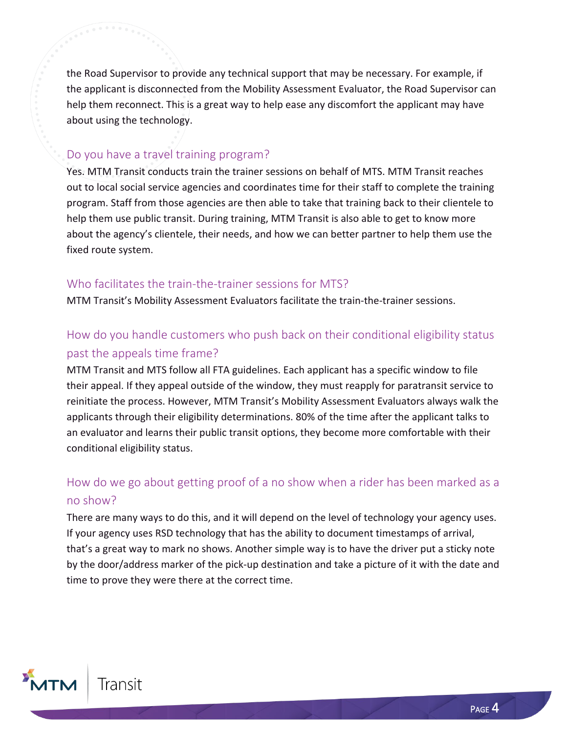the Road Supervisor to provide any technical support that may be necessary. For example, if the applicant is disconnected from the Mobility Assessment Evaluator, the Road Supervisor can help them reconnect. This is a great way to help ease any discomfort the applicant may have about using the technology.

#### Do you have a travel training program?

Yes. MTM Transit conducts train the trainer sessions on behalf of MTS. MTM Transit reaches out to local social service agencies and coordinates time for their staff to complete the training program. Staff from those agencies are then able to take that training back to their clientele to help them use public transit. During training, MTM Transit is also able to get to know more about the agency's clientele, their needs, and how we can better partner to help them use the fixed route system.

#### Who facilitates the train-the-trainer sessions for MTS?

MTM Transit's Mobility Assessment Evaluators facilitate the train-the-trainer sessions.

## How do you handle customers who push back on their conditional eligibility status past the appeals time frame?

MTM Transit and MTS follow all FTA guidelines. Each applicant has a specific window to file their appeal. If they appeal outside of the window, they must reapply for paratransit service to reinitiate the process. However, MTM Transit's Mobility Assessment Evaluators always walk the applicants through their eligibility determinations. 80% of the time after the applicant talks to an evaluator and learns their public transit options, they become more comfortable with their conditional eligibility status.

# How do we go about getting proof of a no show when a rider has been marked as a no show?

There are many ways to do this, and it will depend on the level of technology your agency uses. If your agency uses RSD technology that has the ability to document timestamps of arrival, that's a great way to mark no shows. Another simple way is to have the driver put a sticky note by the door/address marker of the pick-up destination and take a picture of it with the date and time to prove they were there at the correct time.

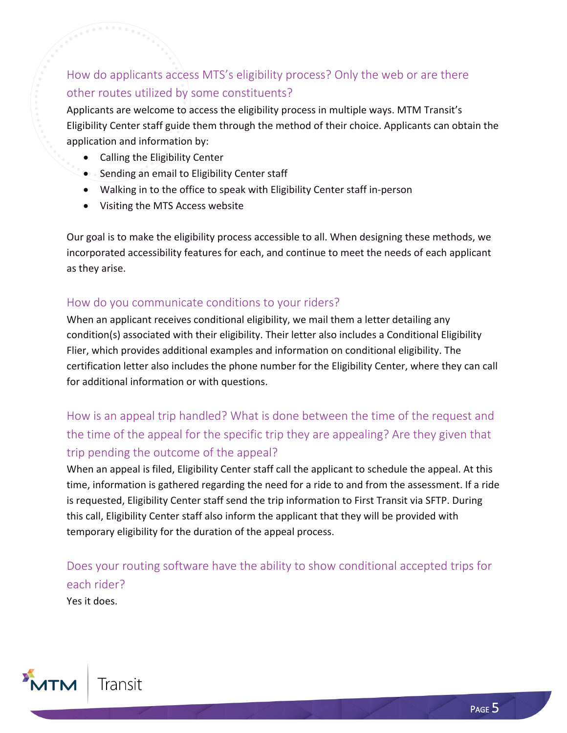# How do applicants access MTS's eligibility process? Only the web or are there other routes utilized by some constituents?

Applicants are welcome to access the eligibility process in multiple ways. MTM Transit's Eligibility Center staff guide them through the method of their choice. Applicants can obtain the application and information by:

- Calling the Eligibility Center
- Sending an email to Eligibility Center staff
- Walking in to the office to speak with Eligibility Center staff in-person
- Visiting the MTS Access website

Our goal is to make the eligibility process accessible to all. When designing these methods, we incorporated accessibility features for each, and continue to meet the needs of each applicant as they arise.

#### How do you communicate conditions to your riders?

When an applicant receives conditional eligibility, we mail them a letter detailing any condition(s) associated with their eligibility. Their letter also includes a Conditional Eligibility Flier, which provides additional examples and information on conditional eligibility. The certification letter also includes the phone number for the Eligibility Center, where they can call for additional information or with questions.

# How is an appeal trip handled? What is done between the time of the request and the time of the appeal for the specific trip they are appealing? Are they given that trip pending the outcome of the appeal?

When an appeal is filed, Eligibility Center staff call the applicant to schedule the appeal. At this time, information is gathered regarding the need for a ride to and from the assessment. If a ride is requested, Eligibility Center staff send the trip information to First Transit via SFTP. During this call, Eligibility Center staff also inform the applicant that they will be provided with temporary eligibility for the duration of the appeal process.

Does your routing software have the ability to show conditional accepted trips for each rider?

Yes it does.